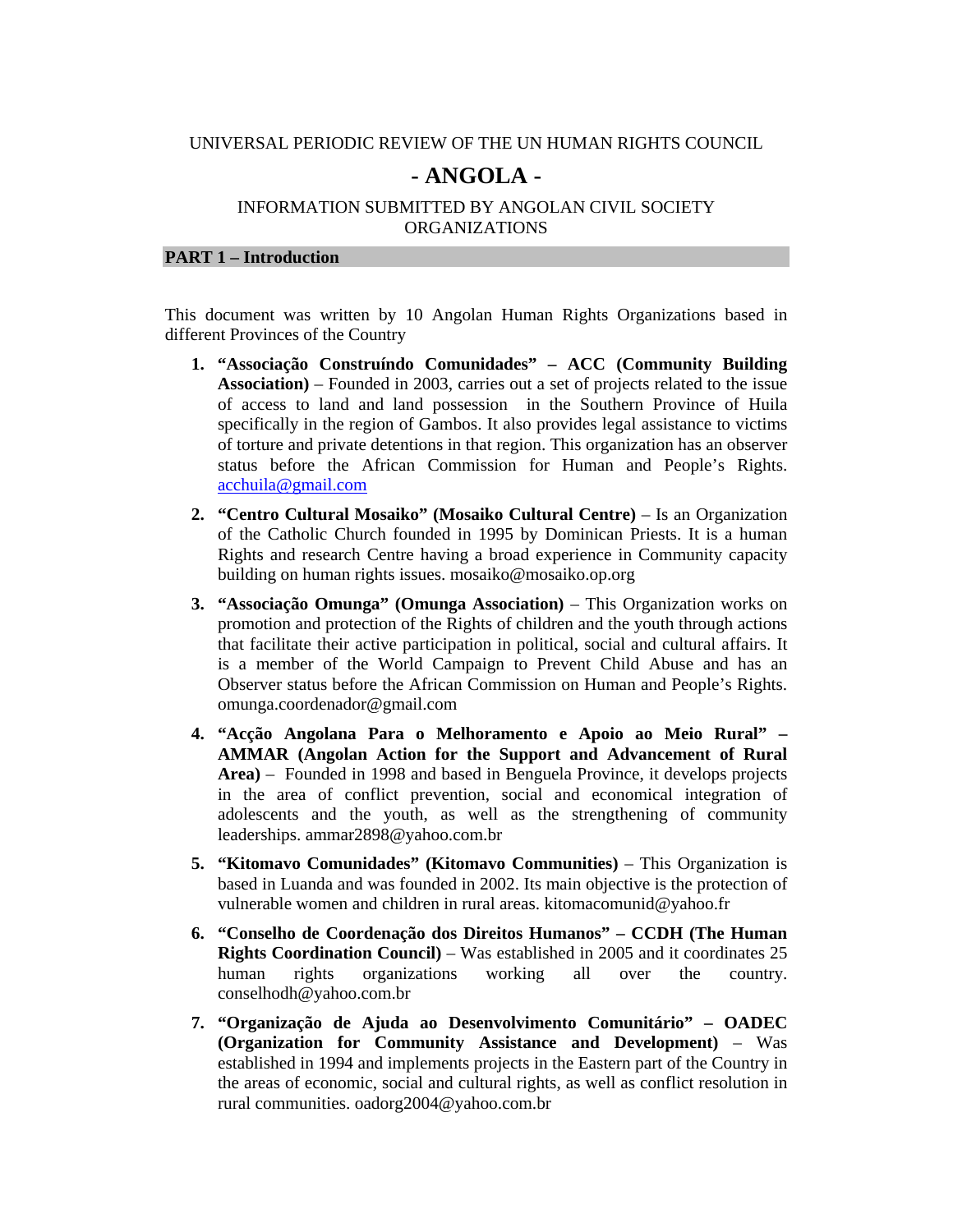#### UNIVERSAL PERIODIC REVIEW OF THE UN HUMAN RIGHTS COUNCIL

# **- ANGOLA -**

## INFORMATION SUBMITTED BY ANGOLAN CIVIL SOCIETY ORGANIZATIONS

### **PART 1 – Introduction**

This document was written by 10 Angolan Human Rights Organizations based in different Provinces of the Country

- **1. "Associação Construíndo Comunidades" ACC (Community Building Association)** – Founded in 2003, carries out a set of projects related to the issue of access to land and land possession in the Southern Province of Huila specifically in the region of Gambos. It also provides legal assistance to victims of torture and private detentions in that region. This organization has an observer status before the African Commission for Human and People's Rights. acchuila@gmail.com
- **2. "Centro Cultural Mosaiko" (Mosaiko Cultural Centre)**  Is an Organization of the Catholic Church founded in 1995 by Dominican Priests. It is a human Rights and research Centre having a broad experience in Community capacity building on human rights issues. mosaiko@mosaiko.op.org
- **3. "Associação Omunga" (Omunga Association)** This Organization works on promotion and protection of the Rights of children and the youth through actions that facilitate their active participation in political, social and cultural affairs. It is a member of the World Campaign to Prevent Child Abuse and has an Observer status before the African Commission on Human and People's Rights. omunga.coordenador@gmail.com
- **4. "Acção Angolana Para o Melhoramento e Apoio ao Meio Rural" AMMAR (Angolan Action for the Support and Advancement of Rural Area)** – Founded in 1998 and based in Benguela Province, it develops projects in the area of conflict prevention, social and economical integration of adolescents and the youth, as well as the strengthening of community leaderships. ammar2898@yahoo.com.br
- **5. "Kitomavo Comunidades" (Kitomavo Communities)** This Organization is based in Luanda and was founded in 2002. Its main objective is the protection of vulnerable women and children in rural areas. kitomacomunid@yahoo.fr
- **6. "Conselho de Coordenação dos Direitos Humanos" CCDH (The Human Rights Coordination Council)** – Was established in 2005 and it coordinates 25 human rights organizations working all over the country. conselhodh@yahoo.com.br
- **7. "Organização de Ajuda ao Desenvolvimento Comunitário" OADEC (Organization for Community Assistance and Development)** – Was established in 1994 and implements projects in the Eastern part of the Country in the areas of economic, social and cultural rights, as well as conflict resolution in rural communities. oadorg2004@yahoo.com.br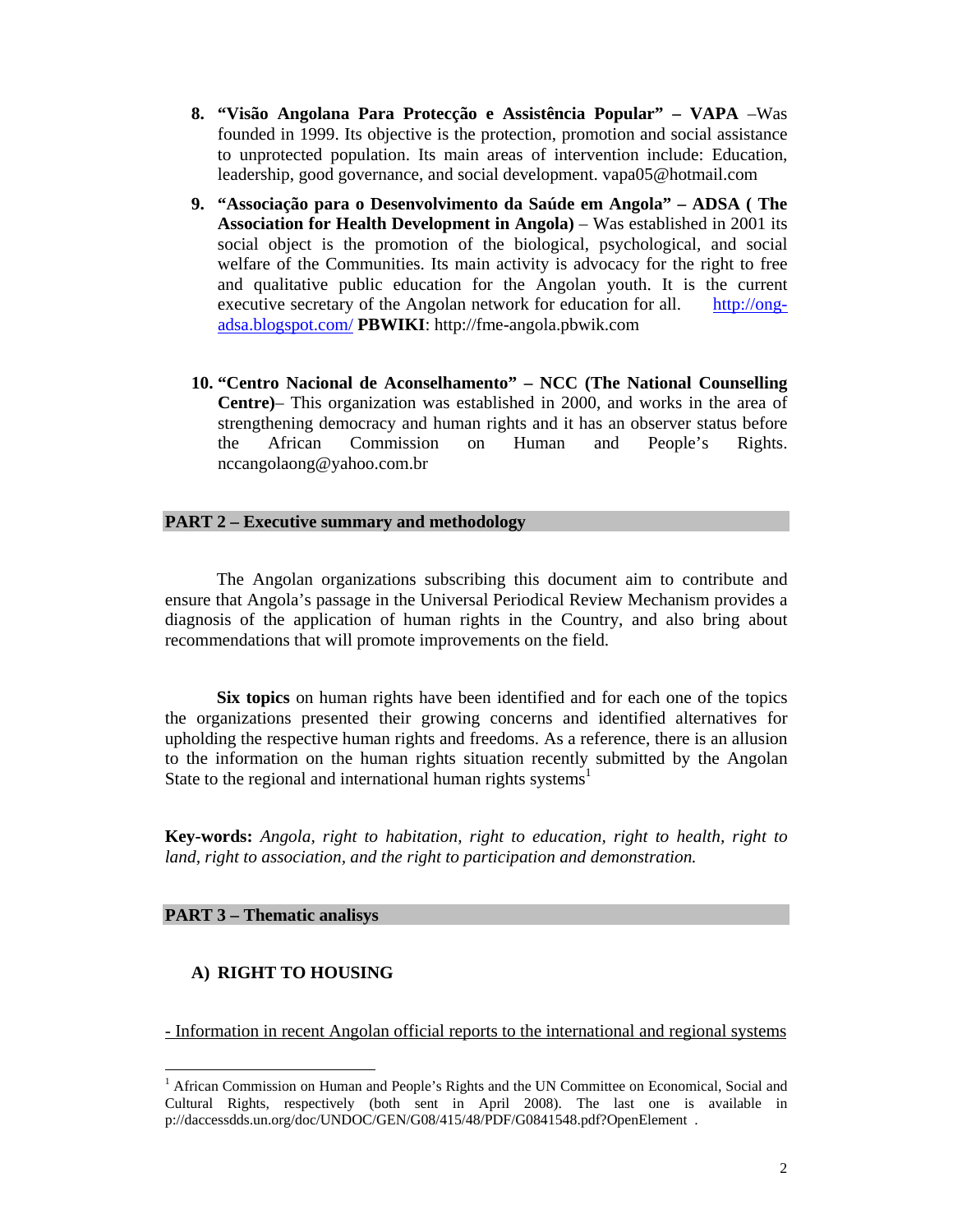- **8. "Visão Angolana Para Protecção e Assistência Popular" VAPA** –Was founded in 1999. Its objective is the protection, promotion and social assistance to unprotected population. Its main areas of intervention include: Education, leadership, good governance, and social development. vapa05@hotmail.com
- **9. "Associação para o Desenvolvimento da Saúde em Angola" ADSA ( The Association for Health Development in Angola)** – Was established in 2001 its social object is the promotion of the biological, psychological, and social welfare of the Communities. Its main activity is advocacy for the right to free and qualitative public education for the Angolan youth. It is the current executive secretary of the Angolan network for education for all. http://ongadsa.blogspot.com/ **PBWIKI**: http://fme-angola.pbwik.com
- **10. "Centro Nacional de Aconselhamento" NCC (The National Counselling Centre)**– This organization was established in 2000, and works in the area of strengthening democracy and human rights and it has an observer status before the African Commission on Human and People's Rights. nccangolaong@yahoo.com.br

## **PART 2 – Executive summary and methodology**

The Angolan organizations subscribing this document aim to contribute and ensure that Angola's passage in the Universal Periodical Review Mechanism provides a diagnosis of the application of human rights in the Country, and also bring about recommendations that will promote improvements on the field.

**Six topics** on human rights have been identified and for each one of the topics the organizations presented their growing concerns and identified alternatives for upholding the respective human rights and freedoms. As a reference, there is an allusion to the information on the human rights situation recently submitted by the Angolan State to the regional and international human rights systems<sup>1</sup>

**Key-words:** *Angola, right to habitation, right to education, right to health, right to land, right to association, and the right to participation and demonstration.* 

## **PART 3 – Thematic analisys**

 $\overline{a}$ 

# **A) RIGHT TO HOUSING**

- Information in recent Angolan official reports to the international and regional systems

<sup>&</sup>lt;sup>1</sup> African Commission on Human and People's Rights and the UN Committee on Economical, Social and Cultural Rights, respectively (both sent in April 2008). The last one is available in p://daccessdds.un.org/doc/UNDOC/GEN/G08/415/48/PDF/G0841548.pdf?OpenElement .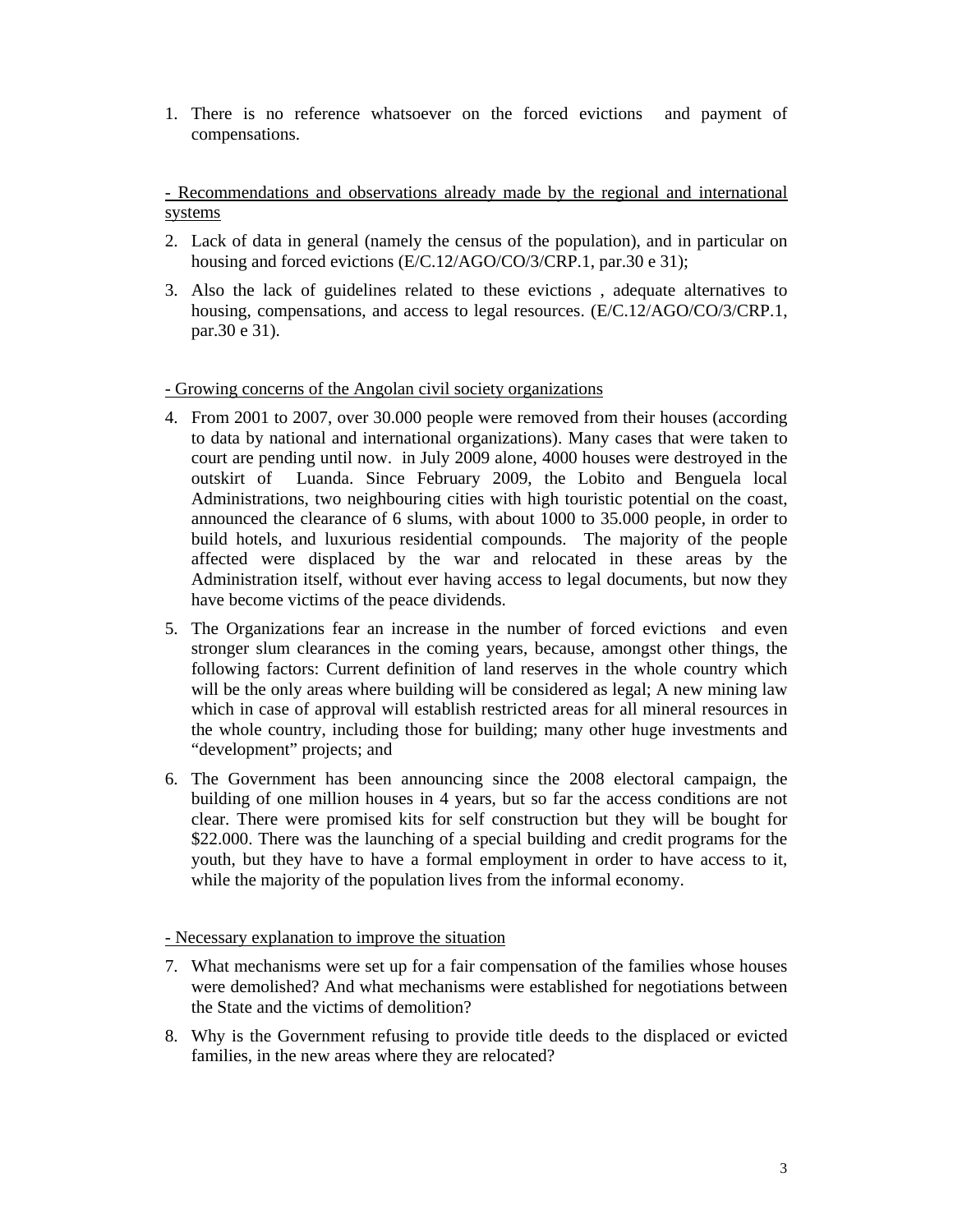1. There is no reference whatsoever on the forced evictions and payment of compensations.

- Recommendations and observations already made by the regional and international systems

- 2. Lack of data in general (namely the census of the population), and in particular on housing and forced evictions (E/C.12/AGO/CO/3/CRP.1, par.30 e 31);
- 3. Also the lack of guidelines related to these evictions , adequate alternatives to housing, compensations, and access to legal resources. (E/C.12/AGO/CO/3/CRP.1, par.30 e 31).

#### - Growing concerns of the Angolan civil society organizations

- 4. From 2001 to 2007, over 30.000 people were removed from their houses (according to data by national and international organizations). Many cases that were taken to court are pending until now. in July 2009 alone, 4000 houses were destroyed in the outskirt of Luanda. Since February 2009, the Lobito and Benguela local Administrations, two neighbouring cities with high touristic potential on the coast, announced the clearance of 6 slums, with about 1000 to 35.000 people, in order to build hotels, and luxurious residential compounds. The majority of the people affected were displaced by the war and relocated in these areas by the Administration itself, without ever having access to legal documents, but now they have become victims of the peace dividends.
- 5. The Organizations fear an increase in the number of forced evictions and even stronger slum clearances in the coming years, because, amongst other things, the following factors: Current definition of land reserves in the whole country which will be the only areas where building will be considered as legal; A new mining law which in case of approval will establish restricted areas for all mineral resources in the whole country, including those for building; many other huge investments and "development" projects; and
- 6. The Government has been announcing since the 2008 electoral campaign, the building of one million houses in 4 years, but so far the access conditions are not clear. There were promised kits for self construction but they will be bought for \$22.000. There was the launching of a special building and credit programs for the youth, but they have to have a formal employment in order to have access to it, while the majority of the population lives from the informal economy.

#### - Necessary explanation to improve the situation

- 7. What mechanisms were set up for a fair compensation of the families whose houses were demolished? And what mechanisms were established for negotiations between the State and the victims of demolition?
- 8. Why is the Government refusing to provide title deeds to the displaced or evicted families, in the new areas where they are relocated?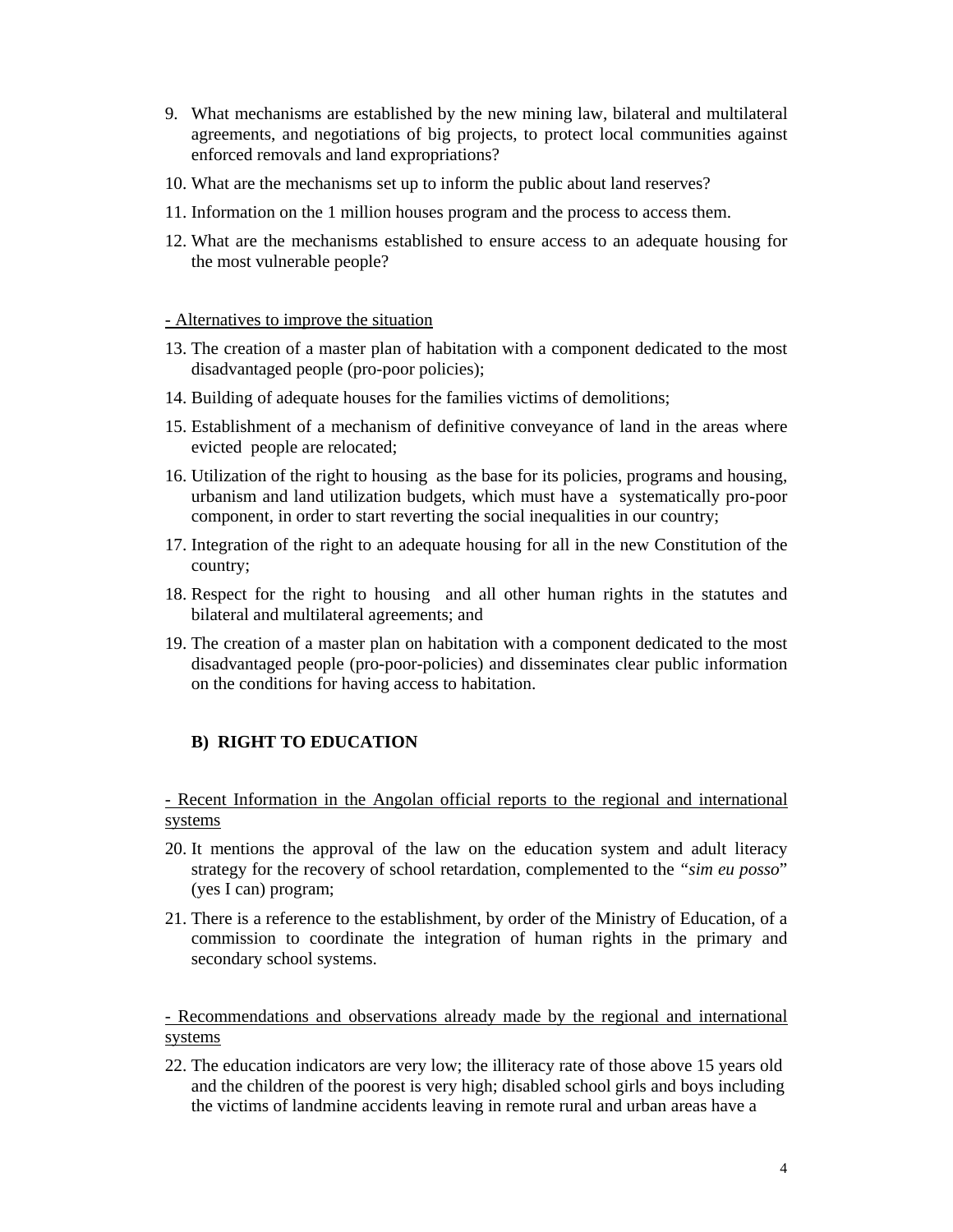- 9. What mechanisms are established by the new mining law, bilateral and multilateral agreements, and negotiations of big projects, to protect local communities against enforced removals and land expropriations?
- 10. What are the mechanisms set up to inform the public about land reserves?
- 11. Information on the 1 million houses program and the process to access them.
- 12. What are the mechanisms established to ensure access to an adequate housing for the most vulnerable people?

## - Alternatives to improve the situation

- 13. The creation of a master plan of habitation with a component dedicated to the most disadvantaged people (pro-poor policies);
- 14. Building of adequate houses for the families victims of demolitions;
- 15. Establishment of a mechanism of definitive conveyance of land in the areas where evicted people are relocated;
- 16. Utilization of the right to housing as the base for its policies, programs and housing, urbanism and land utilization budgets, which must have a systematically pro-poor component, in order to start reverting the social inequalities in our country;
- 17. Integration of the right to an adequate housing for all in the new Constitution of the country;
- 18. Respect for the right to housing and all other human rights in the statutes and bilateral and multilateral agreements; and
- 19. The creation of a master plan on habitation with a component dedicated to the most disadvantaged people (pro-poor-policies) and disseminates clear public information on the conditions for having access to habitation.

# **B) RIGHT TO EDUCATION**

- Recent Information in the Angolan official reports to the regional and international systems

- 20. It mentions the approval of the law on the education system and adult literacy strategy for the recovery of school retardation, complemented to the *"sim eu posso*" (yes I can) program;
- 21. There is a reference to the establishment, by order of the Ministry of Education, of a commission to coordinate the integration of human rights in the primary and secondary school systems.

- Recommendations and observations already made by the regional and international systems

22. The education indicators are very low; the illiteracy rate of those above 15 years old and the children of the poorest is very high; disabled school girls and boys including the victims of landmine accidents leaving in remote rural and urban areas have a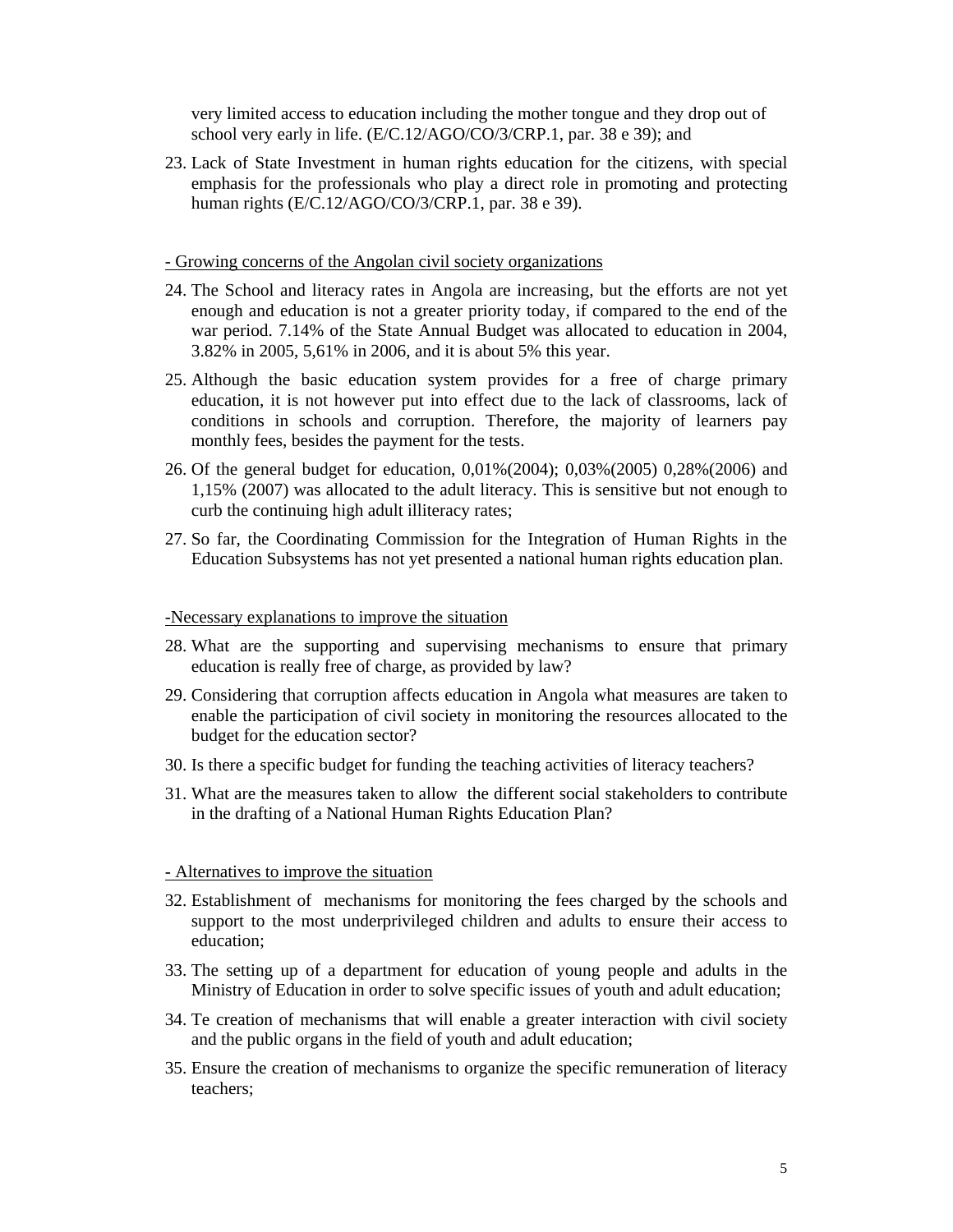very limited access to education including the mother tongue and they drop out of school very early in life. (E/C.12/AGO/CO/3/CRP.1, par. 38 e 39); and

23. Lack of State Investment in human rights education for the citizens, with special emphasis for the professionals who play a direct role in promoting and protecting human rights (E/C.12/AGO/CO/3/CRP.1, par. 38 e 39).

#### - Growing concerns of the Angolan civil society organizations

- 24. The School and literacy rates in Angola are increasing, but the efforts are not yet enough and education is not a greater priority today, if compared to the end of the war period. 7.14% of the State Annual Budget was allocated to education in 2004, 3.82% in 2005, 5,61% in 2006, and it is about 5% this year.
- 25. Although the basic education system provides for a free of charge primary education, it is not however put into effect due to the lack of classrooms, lack of conditions in schools and corruption. Therefore, the majority of learners pay monthly fees, besides the payment for the tests.
- 26. Of the general budget for education, 0,01%(2004); 0,03%(2005) 0,28%(2006) and 1,15% (2007) was allocated to the adult literacy. This is sensitive but not enough to curb the continuing high adult illiteracy rates;
- 27. So far, the Coordinating Commission for the Integration of Human Rights in the Education Subsystems has not yet presented a national human rights education plan.

#### -Necessary explanations to improve the situation

- 28. What are the supporting and supervising mechanisms to ensure that primary education is really free of charge, as provided by law?
- 29. Considering that corruption affects education in Angola what measures are taken to enable the participation of civil society in monitoring the resources allocated to the budget for the education sector?
- 30. Is there a specific budget for funding the teaching activities of literacy teachers?
- 31. What are the measures taken to allow the different social stakeholders to contribute in the drafting of a National Human Rights Education Plan?

## - Alternatives to improve the situation

- 32. Establishment of mechanisms for monitoring the fees charged by the schools and support to the most underprivileged children and adults to ensure their access to education;
- 33. The setting up of a department for education of young people and adults in the Ministry of Education in order to solve specific issues of youth and adult education;
- 34. Te creation of mechanisms that will enable a greater interaction with civil society and the public organs in the field of youth and adult education;
- 35. Ensure the creation of mechanisms to organize the specific remuneration of literacy teachers;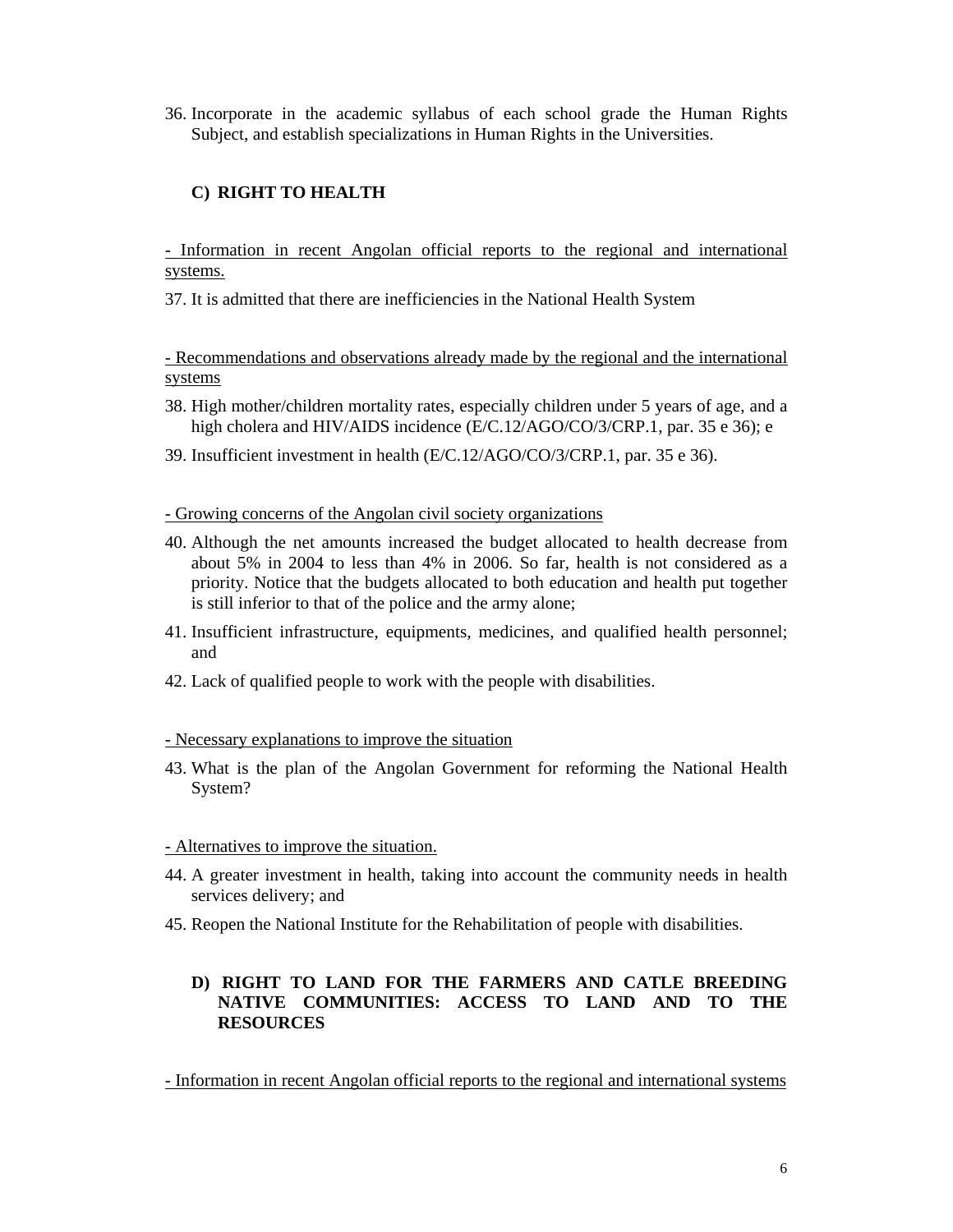36. Incorporate in the academic syllabus of each school grade the Human Rights Subject, and establish specializations in Human Rights in the Universities.

# **C) RIGHT TO HEALTH**

- Information in recent Angolan official reports to the regional and international systems.

37. It is admitted that there are inefficiencies in the National Health System

- Recommendations and observations already made by the regional and the international systems

- 38. High mother/children mortality rates, especially children under 5 years of age, and a high cholera and HIV/AIDS incidence (E/C.12/AGO/CO/3/CRP.1, par. 35 e 36); e
- 39. Insufficient investment in health (E/C.12/AGO/CO/3/CRP.1, par. 35 e 36).

- Growing concerns of the Angolan civil society organizations

- 40. Although the net amounts increased the budget allocated to health decrease from about 5% in 2004 to less than 4% in 2006. So far, health is not considered as a priority. Notice that the budgets allocated to both education and health put together is still inferior to that of the police and the army alone;
- 41. Insufficient infrastructure, equipments, medicines, and qualified health personnel; and
- 42. Lack of qualified people to work with the people with disabilities.

## - Necessary explanations to improve the situation

43. What is the plan of the Angolan Government for reforming the National Health System?

## - Alternatives to improve the situation.

- 44. A greater investment in health, taking into account the community needs in health services delivery; and
- 45. Reopen the National Institute for the Rehabilitation of people with disabilities.

# **D) RIGHT TO LAND FOR THE FARMERS AND CATLE BREEDING NATIVE COMMUNITIES: ACCESS TO LAND AND TO THE RESOURCES**

- Information in recent Angolan official reports to the regional and international systems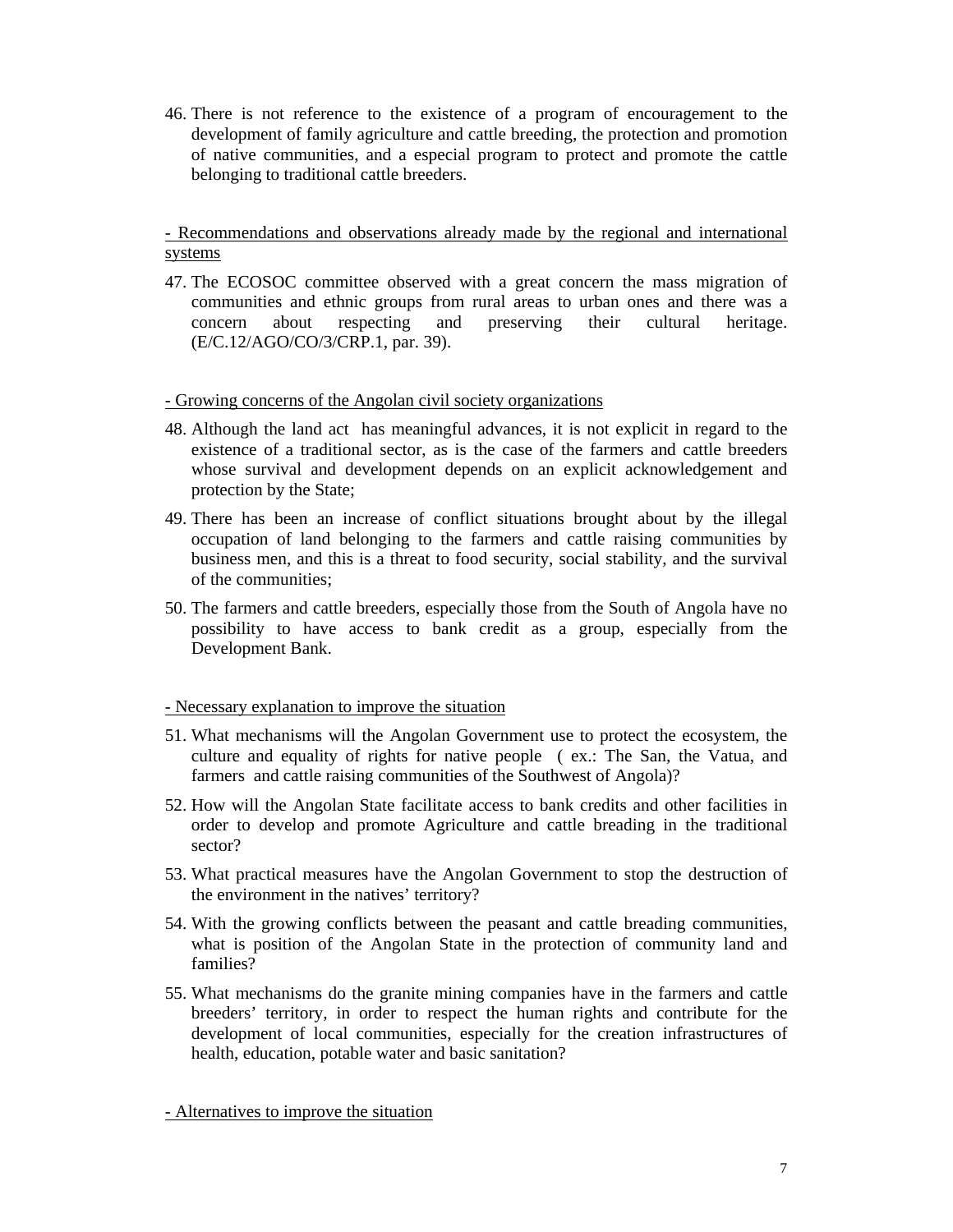46. There is not reference to the existence of a program of encouragement to the development of family agriculture and cattle breeding, the protection and promotion of native communities, and a especial program to protect and promote the cattle belonging to traditional cattle breeders.

- Recommendations and observations already made by the regional and international systems

47. The ECOSOC committee observed with a great concern the mass migration of communities and ethnic groups from rural areas to urban ones and there was a concern about respecting and preserving their cultural heritage. (E/C.12/AGO/CO/3/CRP.1, par. 39).

## - Growing concerns of the Angolan civil society organizations

- 48. Although the land act has meaningful advances, it is not explicit in regard to the existence of a traditional sector, as is the case of the farmers and cattle breeders whose survival and development depends on an explicit acknowledgement and protection by the State;
- 49. There has been an increase of conflict situations brought about by the illegal occupation of land belonging to the farmers and cattle raising communities by business men, and this is a threat to food security, social stability, and the survival of the communities;
- 50. The farmers and cattle breeders, especially those from the South of Angola have no possibility to have access to bank credit as a group, especially from the Development Bank.

#### - Necessary explanation to improve the situation

- 51. What mechanisms will the Angolan Government use to protect the ecosystem, the culture and equality of rights for native people ( ex.: The San, the Vatua, and farmers and cattle raising communities of the Southwest of Angola)?
- 52. How will the Angolan State facilitate access to bank credits and other facilities in order to develop and promote Agriculture and cattle breading in the traditional sector?
- 53. What practical measures have the Angolan Government to stop the destruction of the environment in the natives' territory?
- 54. With the growing conflicts between the peasant and cattle breading communities, what is position of the Angolan State in the protection of community land and families?
- 55. What mechanisms do the granite mining companies have in the farmers and cattle breeders' territory, in order to respect the human rights and contribute for the development of local communities, especially for the creation infrastructures of health, education, potable water and basic sanitation?

- Alternatives to improve the situation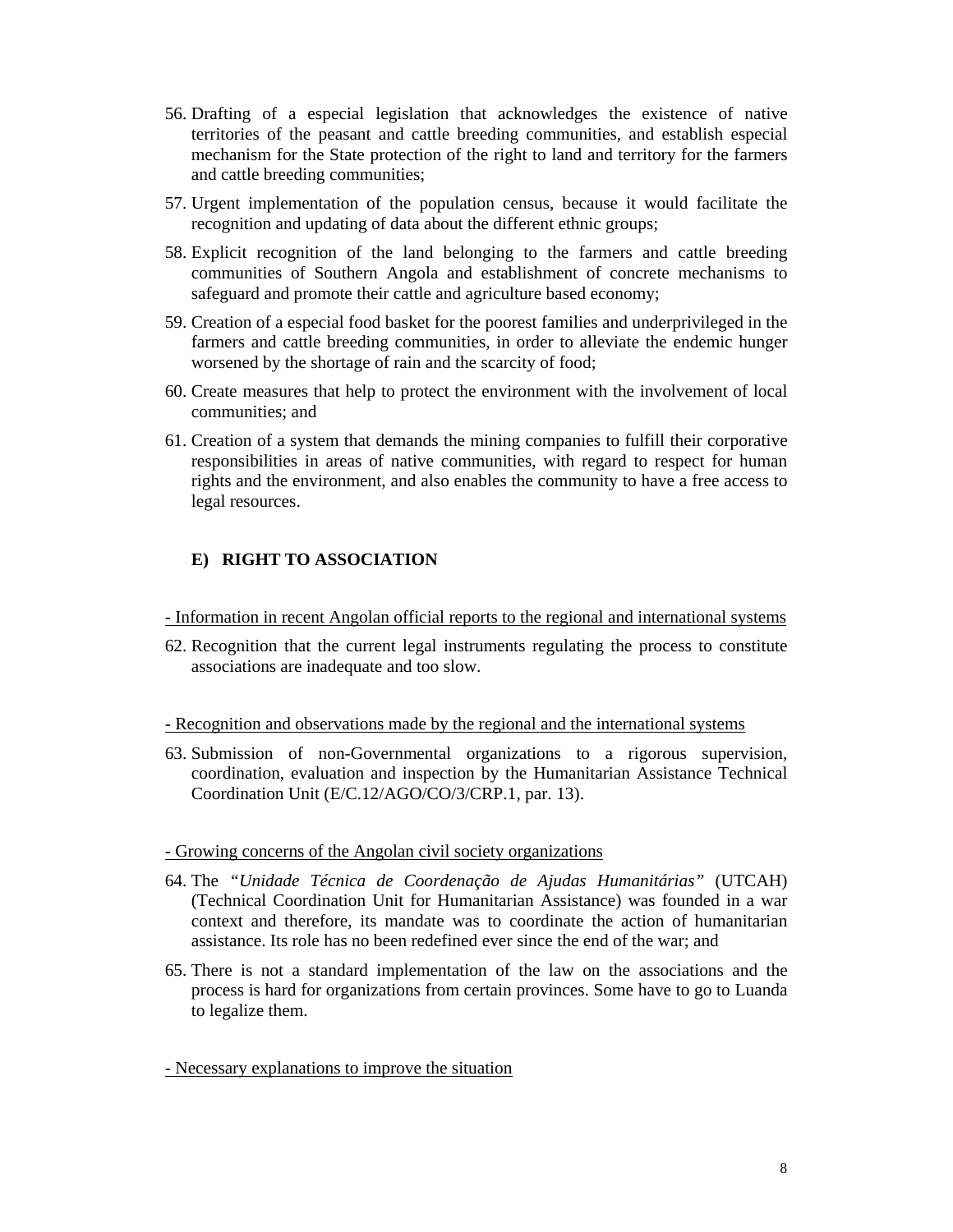- 56. Drafting of a especial legislation that acknowledges the existence of native territories of the peasant and cattle breeding communities, and establish especial mechanism for the State protection of the right to land and territory for the farmers and cattle breeding communities;
- 57. Urgent implementation of the population census, because it would facilitate the recognition and updating of data about the different ethnic groups;
- 58. Explicit recognition of the land belonging to the farmers and cattle breeding communities of Southern Angola and establishment of concrete mechanisms to safeguard and promote their cattle and agriculture based economy;
- 59. Creation of a especial food basket for the poorest families and underprivileged in the farmers and cattle breeding communities, in order to alleviate the endemic hunger worsened by the shortage of rain and the scarcity of food;
- 60. Create measures that help to protect the environment with the involvement of local communities; and
- 61. Creation of a system that demands the mining companies to fulfill their corporative responsibilities in areas of native communities, with regard to respect for human rights and the environment, and also enables the community to have a free access to legal resources.

# **E) RIGHT TO ASSOCIATION**

#### - Information in recent Angolan official reports to the regional and international systems

62. Recognition that the current legal instruments regulating the process to constitute associations are inadequate and too slow.

#### - Recognition and observations made by the regional and the international systems

63. Submission of non-Governmental organizations to a rigorous supervision, coordination, evaluation and inspection by the Humanitarian Assistance Technical Coordination Unit (E/C.12/AGO/CO/3/CRP.1, par. 13).

## - Growing concerns of the Angolan civil society organizations

- 64. The *"Unidade Técnica de Coordenação de Ajudas Humanitárias"* (UTCAH) (Technical Coordination Unit for Humanitarian Assistance) was founded in a war context and therefore, its mandate was to coordinate the action of humanitarian assistance. Its role has no been redefined ever since the end of the war; and
- 65. There is not a standard implementation of the law on the associations and the process is hard for organizations from certain provinces. Some have to go to Luanda to legalize them.

## - Necessary explanations to improve the situation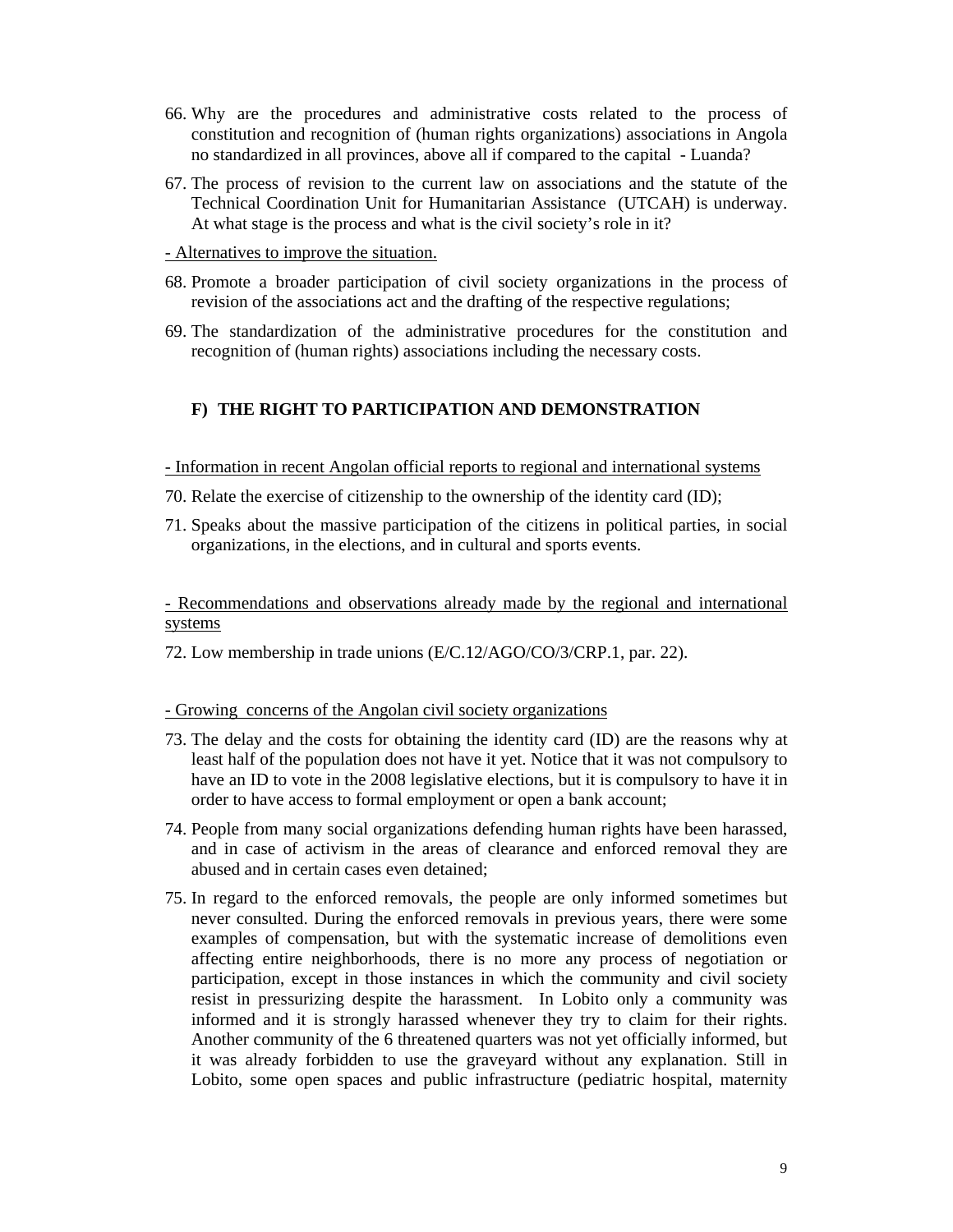- 66. Why are the procedures and administrative costs related to the process of constitution and recognition of (human rights organizations) associations in Angola no standardized in all provinces, above all if compared to the capital - Luanda?
- 67. The process of revision to the current law on associations and the statute of the Technical Coordination Unit for Humanitarian Assistance (UTCAH) is underway. At what stage is the process and what is the civil society's role in it?
- Alternatives to improve the situation.
- 68. Promote a broader participation of civil society organizations in the process of revision of the associations act and the drafting of the respective regulations;
- 69. The standardization of the administrative procedures for the constitution and recognition of (human rights) associations including the necessary costs.

# **F) THE RIGHT TO PARTICIPATION AND DEMONSTRATION**

- Information in recent Angolan official reports to regional and international systems
- 70. Relate the exercise of citizenship to the ownership of the identity card (ID);
- 71. Speaks about the massive participation of the citizens in political parties, in social organizations, in the elections, and in cultural and sports events.

- Recommendations and observations already made by the regional and international systems

72. Low membership in trade unions (E/C.12/AGO/CO/3/CRP.1, par. 22).

### - Growing concerns of the Angolan civil society organizations

- 73. The delay and the costs for obtaining the identity card (ID) are the reasons why at least half of the population does not have it yet. Notice that it was not compulsory to have an ID to vote in the 2008 legislative elections, but it is compulsory to have it in order to have access to formal employment or open a bank account;
- 74. People from many social organizations defending human rights have been harassed, and in case of activism in the areas of clearance and enforced removal they are abused and in certain cases even detained;
- 75. In regard to the enforced removals, the people are only informed sometimes but never consulted. During the enforced removals in previous years, there were some examples of compensation, but with the systematic increase of demolitions even affecting entire neighborhoods, there is no more any process of negotiation or participation, except in those instances in which the community and civil society resist in pressurizing despite the harassment. In Lobito only a community was informed and it is strongly harassed whenever they try to claim for their rights. Another community of the 6 threatened quarters was not yet officially informed, but it was already forbidden to use the graveyard without any explanation. Still in Lobito, some open spaces and public infrastructure (pediatric hospital, maternity